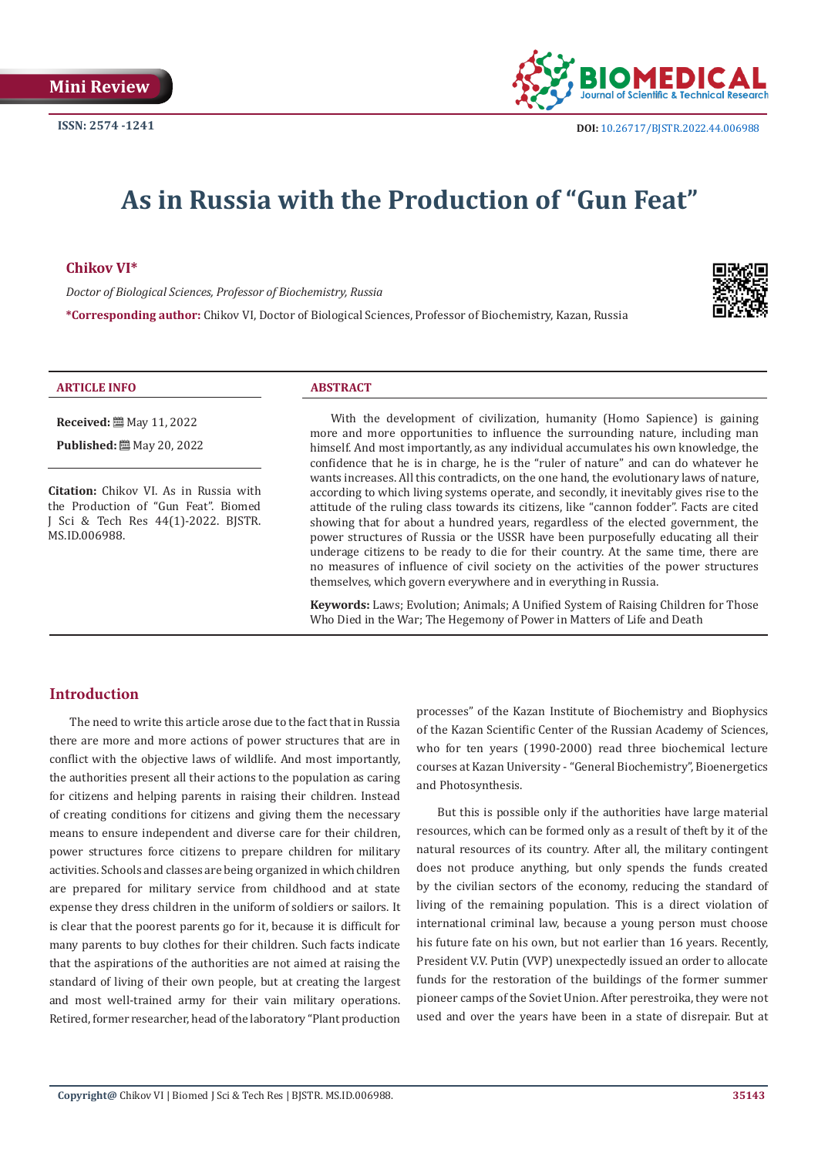

# **As in Russia with the Production of "Gun Feat"**

#### **Chikov VI\***

*Doctor of Biological Sciences, Professor of Biochemistry, Russia*

**\*Corresponding author:** Chikov VI, Doctor of Biological Sciences, Professor of Biochemistry, Kazan, Russia



#### **ARTICLE INFO ABSTRACT**

**Received:** ■ May 11, 2022

**Published:** 圖 May 20, 2022

**Citation:** Chikov VI. As in Russia with the Production of "Gun Feat". Biomed J Sci & Tech Res 44(1)-2022. BJSTR. MS.ID.006988.

With the development of civilization, humanity (Homo Sapience) is gaining more and more opportunities to influence the surrounding nature, including man himself. And most importantly, as any individual accumulates his own knowledge, the confidence that he is in charge, he is the "ruler of nature" and can do whatever he wants increases. All this contradicts, on the one hand, the evolutionary laws of nature, according to which living systems operate, and secondly, it inevitably gives rise to the attitude of the ruling class towards its citizens, like "cannon fodder". Facts are cited showing that for about a hundred years, regardless of the elected government, the power structures of Russia or the USSR have been purposefully educating all their underage citizens to be ready to die for their country. At the same time, there are no measures of influence of civil society on the activities of the power structures themselves, which govern everywhere and in everything in Russia.

**Keywords:** Laws; Evolution; Animals; A Unified System of Raising Children for Those Who Died in the War; The Hegemony of Power in Matters of Life and Death

## **Introduction**

The need to write this article arose due to the fact that in Russia there are more and more actions of power structures that are in conflict with the objective laws of wildlife. And most importantly, the authorities present all their actions to the population as caring for citizens and helping parents in raising their children. Instead of creating conditions for citizens and giving them the necessary means to ensure independent and diverse care for their children, power structures force citizens to prepare children for military activities. Schools and classes are being organized in which children are prepared for military service from childhood and at state expense they dress children in the uniform of soldiers or sailors. It is clear that the poorest parents go for it, because it is difficult for many parents to buy clothes for their children. Such facts indicate that the aspirations of the authorities are not aimed at raising the standard of living of their own people, but at creating the largest and most well-trained army for their vain military operations. Retired, former researcher, head of the laboratory "Plant production

processes" of the Kazan Institute of Biochemistry and Biophysics of the Kazan Scientific Center of the Russian Academy of Sciences, who for ten years (1990-2000) read three biochemical lecture courses at Kazan University - "General Biochemistry", Bioenergetics and Photosynthesis.

But this is possible only if the authorities have large material resources, which can be formed only as a result of theft by it of the natural resources of its country. After all, the military contingent does not produce anything, but only spends the funds created by the civilian sectors of the economy, reducing the standard of living of the remaining population. This is a direct violation of international criminal law, because a young person must choose his future fate on his own, but not earlier than 16 years. Recently, President V.V. Putin (VVP) unexpectedly issued an order to allocate funds for the restoration of the buildings of the former summer pioneer camps of the Soviet Union. After perestroika, they were not used and over the years have been in a state of disrepair. But at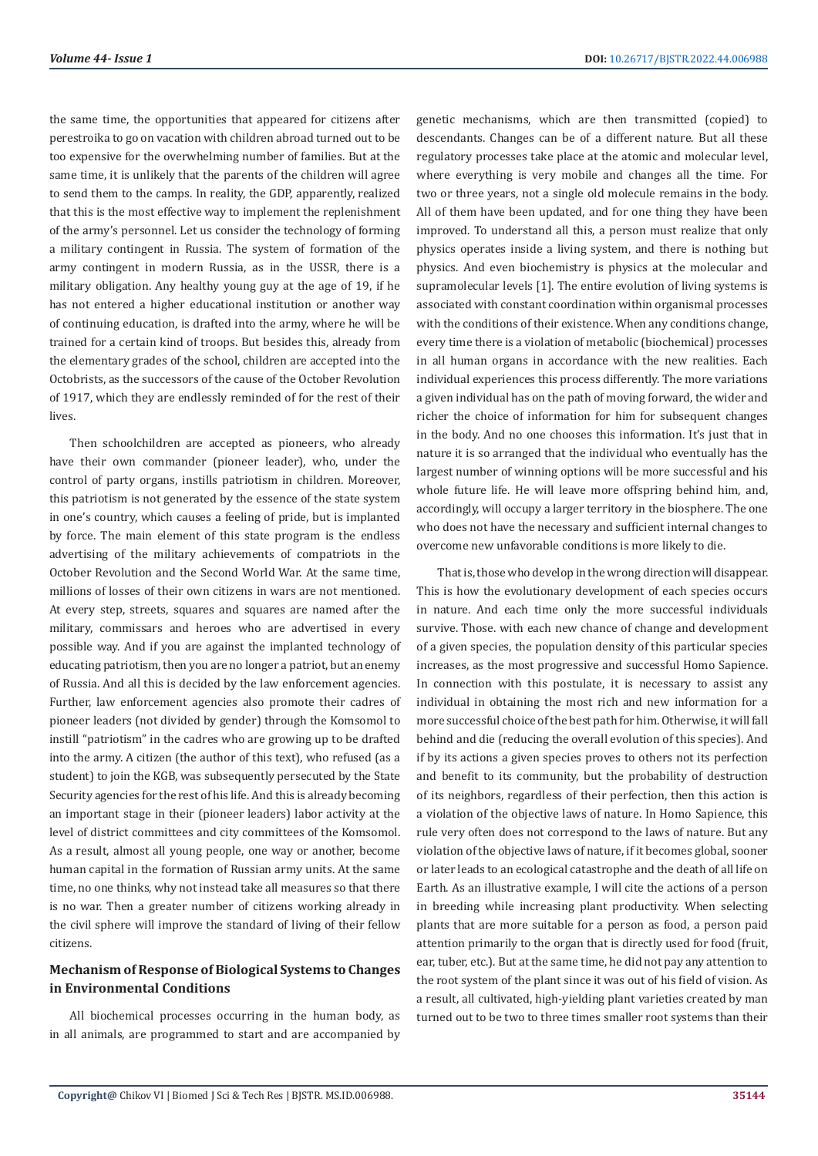the same time, the opportunities that appeared for citizens after perestroika to go on vacation with children abroad turned out to be too expensive for the overwhelming number of families. But at the same time, it is unlikely that the parents of the children will agree to send them to the camps. In reality, the GDP, apparently, realized that this is the most effective way to implement the replenishment of the army's personnel. Let us consider the technology of forming a military contingent in Russia. The system of formation of the army contingent in modern Russia, as in the USSR, there is a military obligation. Any healthy young guy at the age of 19, if he has not entered a higher educational institution or another way of continuing education, is drafted into the army, where he will be trained for a certain kind of troops. But besides this, already from the elementary grades of the school, children are accepted into the Octobrists, as the successors of the cause of the October Revolution of 1917, which they are endlessly reminded of for the rest of their lives.

Then schoolchildren are accepted as pioneers, who already have their own commander (pioneer leader), who, under the control of party organs, instills patriotism in children. Moreover, this patriotism is not generated by the essence of the state system in one's country, which causes a feeling of pride, but is implanted by force. The main element of this state program is the endless advertising of the military achievements of compatriots in the October Revolution and the Second World War. At the same time, millions of losses of their own citizens in wars are not mentioned. At every step, streets, squares and squares are named after the military, commissars and heroes who are advertised in every possible way. And if you are against the implanted technology of educating patriotism, then you are no longer a patriot, but an enemy of Russia. And all this is decided by the law enforcement agencies. Further, law enforcement agencies also promote their cadres of pioneer leaders (not divided by gender) through the Komsomol to instill "patriotism" in the cadres who are growing up to be drafted into the army. A citizen (the author of this text), who refused (as a student) to join the KGB, was subsequently persecuted by the State Security agencies for the rest of his life. And this is already becoming an important stage in their (pioneer leaders) labor activity at the level of district committees and city committees of the Komsomol. As a result, almost all young people, one way or another, become human capital in the formation of Russian army units. At the same time, no one thinks, why not instead take all measures so that there is no war. Then a greater number of citizens working already in the civil sphere will improve the standard of living of their fellow citizens.

# **Mechanism of Response of Biological Systems to Changes in Environmental Conditions**

All biochemical processes occurring in the human body, as in all animals, are programmed to start and are accompanied by

genetic mechanisms, which are then transmitted (copied) to descendants. Changes can be of a different nature. But all these regulatory processes take place at the atomic and molecular level, where everything is very mobile and changes all the time. For two or three years, not a single old molecule remains in the body. All of them have been updated, and for one thing they have been improved. To understand all this, a person must realize that only physics operates inside a living system, and there is nothing but physics. And even biochemistry is physics at the molecular and supramolecular levels [1]. The entire evolution of living systems is associated with constant coordination within organismal processes with the conditions of their existence. When any conditions change, every time there is a violation of metabolic (biochemical) processes in all human organs in accordance with the new realities. Each individual experiences this process differently. The more variations a given individual has on the path of moving forward, the wider and richer the choice of information for him for subsequent changes in the body. And no one chooses this information. It's just that in nature it is so arranged that the individual who eventually has the largest number of winning options will be more successful and his whole future life. He will leave more offspring behind him, and, accordingly, will occupy a larger territory in the biosphere. The one who does not have the necessary and sufficient internal changes to overcome new unfavorable conditions is more likely to die.

That is, those who develop in the wrong direction will disappear. This is how the evolutionary development of each species occurs in nature. And each time only the more successful individuals survive. Those. with each new chance of change and development of a given species, the population density of this particular species increases, as the most progressive and successful Homo Sapience. In connection with this postulate, it is necessary to assist any individual in obtaining the most rich and new information for a more successful choice of the best path for him. Otherwise, it will fall behind and die (reducing the overall evolution of this species). And if by its actions a given species proves to others not its perfection and benefit to its community, but the probability of destruction of its neighbors, regardless of their perfection, then this action is a violation of the objective laws of nature. In Homo Sapience, this rule very often does not correspond to the laws of nature. But any violation of the objective laws of nature, if it becomes global, sooner or later leads to an ecological catastrophe and the death of all life on Earth. As an illustrative example, I will cite the actions of a person in breeding while increasing plant productivity. When selecting plants that are more suitable for a person as food, a person paid attention primarily to the organ that is directly used for food (fruit, ear, tuber, etc.). But at the same time, he did not pay any attention to the root system of the plant since it was out of his field of vision. As a result, all cultivated, high-yielding plant varieties created by man turned out to be two to three times smaller root systems than their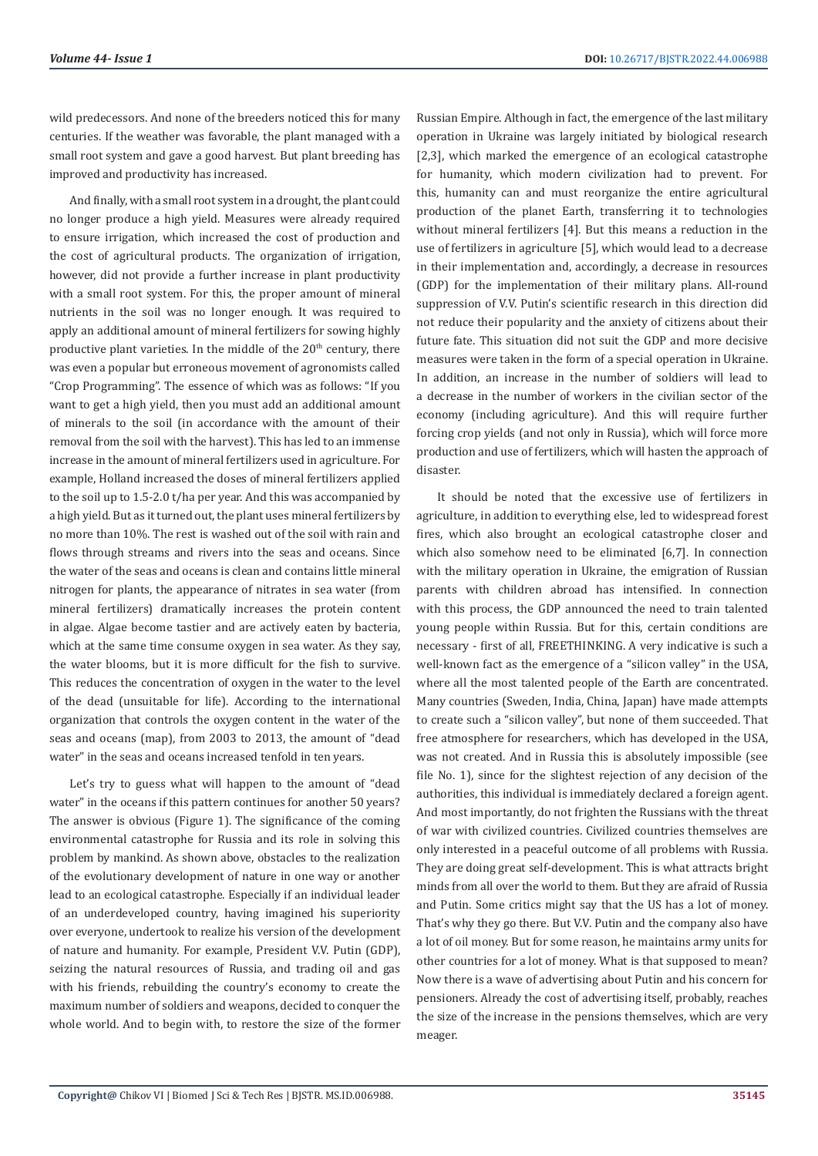wild predecessors. And none of the breeders noticed this for many centuries. If the weather was favorable, the plant managed with a small root system and gave a good harvest. But plant breeding has improved and productivity has increased.

And finally, with a small root system in a drought, the plant could no longer produce a high yield. Measures were already required to ensure irrigation, which increased the cost of production and the cost of agricultural products. The organization of irrigation, however, did not provide a further increase in plant productivity with a small root system. For this, the proper amount of mineral nutrients in the soil was no longer enough. It was required to apply an additional amount of mineral fertilizers for sowing highly productive plant varieties. In the middle of the  $20<sup>th</sup>$  century, there was even a popular but erroneous movement of agronomists called "Crop Programming". The essence of which was as follows: "If you want to get a high yield, then you must add an additional amount of minerals to the soil (in accordance with the amount of their removal from the soil with the harvest). This has led to an immense increase in the amount of mineral fertilizers used in agriculture. For example, Holland increased the doses of mineral fertilizers applied to the soil up to 1.5-2.0 t/ha per year. And this was accompanied by a high yield. But as it turned out, the plant uses mineral fertilizers by no more than 10%. The rest is washed out of the soil with rain and flows through streams and rivers into the seas and oceans. Since the water of the seas and oceans is clean and contains little mineral nitrogen for plants, the appearance of nitrates in sea water (from mineral fertilizers) dramatically increases the protein content in algae. Algae become tastier and are actively eaten by bacteria, which at the same time consume oxygen in sea water. As they say, the water blooms, but it is more difficult for the fish to survive. This reduces the concentration of oxygen in the water to the level of the dead (unsuitable for life). According to the international organization that controls the oxygen content in the water of the seas and oceans (map), from 2003 to 2013, the amount of "dead water" in the seas and oceans increased tenfold in ten years.

Let's try to guess what will happen to the amount of "dead water" in the oceans if this pattern continues for another 50 years? The answer is obvious (Figure 1). The significance of the coming environmental catastrophe for Russia and its role in solving this problem by mankind. As shown above, obstacles to the realization of the evolutionary development of nature in one way or another lead to an ecological catastrophe. Especially if an individual leader of an underdeveloped country, having imagined his superiority over everyone, undertook to realize his version of the development of nature and humanity. For example, President V.V. Putin (GDP), seizing the natural resources of Russia, and trading oil and gas with his friends, rebuilding the country's economy to create the maximum number of soldiers and weapons, decided to conquer the whole world. And to begin with, to restore the size of the former Russian Empire. Although in fact, the emergence of the last military operation in Ukraine was largely initiated by biological research [2,3], which marked the emergence of an ecological catastrophe for humanity, which modern civilization had to prevent. For this, humanity can and must reorganize the entire agricultural production of the planet Earth, transferring it to technologies without mineral fertilizers [4]. But this means a reduction in the use of fertilizers in agriculture [5], which would lead to a decrease in their implementation and, accordingly, a decrease in resources (GDP) for the implementation of their military plans. All-round suppression of V.V. Putin's scientific research in this direction did not reduce their popularity and the anxiety of citizens about their future fate. This situation did not suit the GDP and more decisive measures were taken in the form of a special operation in Ukraine. In addition, an increase in the number of soldiers will lead to a decrease in the number of workers in the civilian sector of the economy (including agriculture). And this will require further forcing crop yields (and not only in Russia), which will force more production and use of fertilizers, which will hasten the approach of disaster.

It should be noted that the excessive use of fertilizers in agriculture, in addition to everything else, led to widespread forest fires, which also brought an ecological catastrophe closer and which also somehow need to be eliminated [6,7]. In connection with the military operation in Ukraine, the emigration of Russian parents with children abroad has intensified. In connection with this process, the GDP announced the need to train talented young people within Russia. But for this, certain conditions are necessary - first of all, FREETHINKING. A very indicative is such a well-known fact as the emergence of a "silicon valley" in the USA, where all the most talented people of the Earth are concentrated. Many countries (Sweden, India, China, Japan) have made attempts to create such a "silicon valley", but none of them succeeded. That free atmosphere for researchers, which has developed in the USA, was not created. And in Russia this is absolutely impossible (see file No. 1), since for the slightest rejection of any decision of the authorities, this individual is immediately declared a foreign agent. And most importantly, do not frighten the Russians with the threat of war with civilized countries. Civilized countries themselves are only interested in a peaceful outcome of all problems with Russia. They are doing great self-development. This is what attracts bright minds from all over the world to them. But they are afraid of Russia and Putin. Some critics might say that the US has a lot of money. That's why they go there. But V.V. Putin and the company also have a lot of oil money. But for some reason, he maintains army units for other countries for a lot of money. What is that supposed to mean? Now there is a wave of advertising about Putin and his concern for pensioners. Already the cost of advertising itself, probably, reaches the size of the increase in the pensions themselves, which are very meager.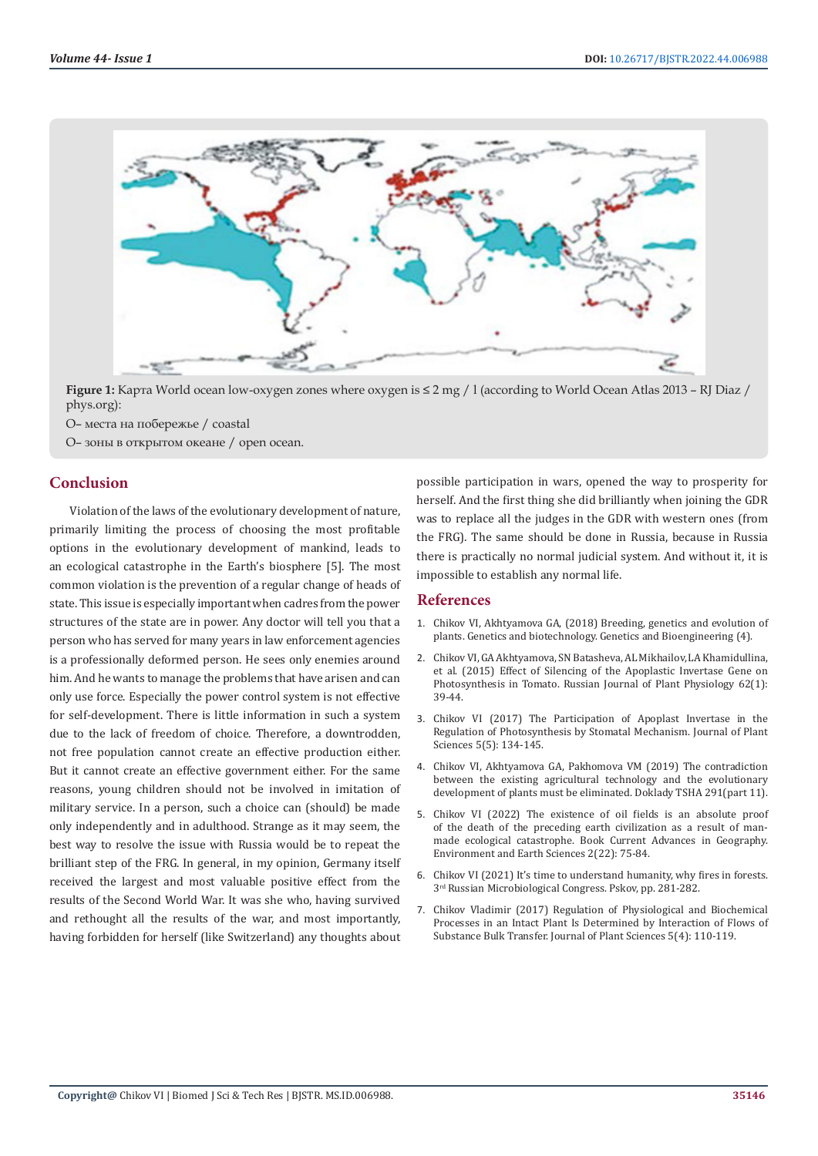

**Figure 1:** Карта World ocean low-oxygen zones where oxygen is ≤ 2 mg / l (according to World Ocean Atlas 2013 – RJ Diaz / phys.org):

О– места на побережье / coastal

О– зоны в открытом океане / open ocean.

### **Conclusion**

Violation of the laws of the evolutionary development of nature, primarily limiting the process of choosing the most profitable options in the evolutionary development of mankind, leads to an ecological catastrophe in the Earth's biosphere [5]. The most common violation is the prevention of a regular change of heads of state. This issue is especially important when cadres from the power structures of the state are in power. Any doctor will tell you that a person who has served for many years in law enforcement agencies is a professionally deformed person. He sees only enemies around him. And he wants to manage the problems that have arisen and can only use force. Especially the power control system is not effective for self-development. There is little information in such a system due to the lack of freedom of choice. Therefore, a downtrodden, not free population cannot create an effective production either. But it cannot create an effective government either. For the same reasons, young children should not be involved in imitation of military service. In a person, such a choice can (should) be made only independently and in adulthood. Strange as it may seem, the best way to resolve the issue with Russia would be to repeat the brilliant step of the FRG. In general, in my opinion, Germany itself received the largest and most valuable positive effect from the results of the Second World War. It was she who, having survived and rethought all the results of the war, and most importantly, having forbidden for herself (like Switzerland) any thoughts about possible participation in wars, opened the way to prosperity for herself. And the first thing she did brilliantly when joining the GDR was to replace all the judges in the GDR with western ones (from the FRG). The same should be done in Russia, because in Russia there is practically no normal judicial system. And without it, it is impossible to establish any normal life.

#### **References**

- 1. Chikov VI, Akhtyamova GA, (2018) Breeding, genetics and evolution of plants. Genetics and biotechnology. Genetics and Bioengineering (4).
- 2. [Chikov VI, GA Akhtyamova, SN Batasheva, AL Mikhailov, LA Khamidullina,](https://link.springer.com/article/10.1134/S1021443715010045) [et al. \(2015\) Effect of Silencing of the Apoplastic Invertase Gene on](https://link.springer.com/article/10.1134/S1021443715010045) [Photosynthesis in Tomato. Russian Journal of Plant Physiology 62\(1\):](https://link.springer.com/article/10.1134/S1021443715010045) [39-44.](https://link.springer.com/article/10.1134/S1021443715010045)
- 3. [Chikov VI \(2017\) The Participation of Apoplast Invertase in the](https://www.sciencepublishinggroup.com/journal/paperinfo?journalid=215&doi=10.11648/j.jps.20170505.12) [Regulation of Photosynthesis by Stomatal Mechanism. Journal of Plant](https://www.sciencepublishinggroup.com/journal/paperinfo?journalid=215&doi=10.11648/j.jps.20170505.12) [Sciences 5\(5\): 134-145.](https://www.sciencepublishinggroup.com/journal/paperinfo?journalid=215&doi=10.11648/j.jps.20170505.12)
- 4. Chikov VI, Akhtyamova GA, Pakhomova VM (2019) The contradiction between the existing agricultural technology and the evolutionary development of plants must be eliminated. Doklady TSHA 291(part 11).
- 5. Chikov VI (2022) The existence of oil fields is an absolute proof of the death of the preceding earth civilization as a result of manmade ecological catastrophe. Book Current Advances in Geography. Environment and Earth Sciences 2(22): 75-84.
- 6. Chikov VI (2021) It's time to understand humanity, why fires in forests. 3rd Russian Microbiological Congress. Pskov, pp. 281-282.
- 7. [Chikov Vladimir \(2017\) Regulation of Physiological and Biochemical](https://www.sciencepublishinggroup.com/journal/paperinfo?journalid=215&doi=10.11648/j.jps.20170504.13) [Processes in an Intact Plant Is Determined by Interaction of Flows of](https://www.sciencepublishinggroup.com/journal/paperinfo?journalid=215&doi=10.11648/j.jps.20170504.13) [Substance Bulk Transfer. Journal of Plant Sciences 5\(4\): 110-119.](https://www.sciencepublishinggroup.com/journal/paperinfo?journalid=215&doi=10.11648/j.jps.20170504.13)